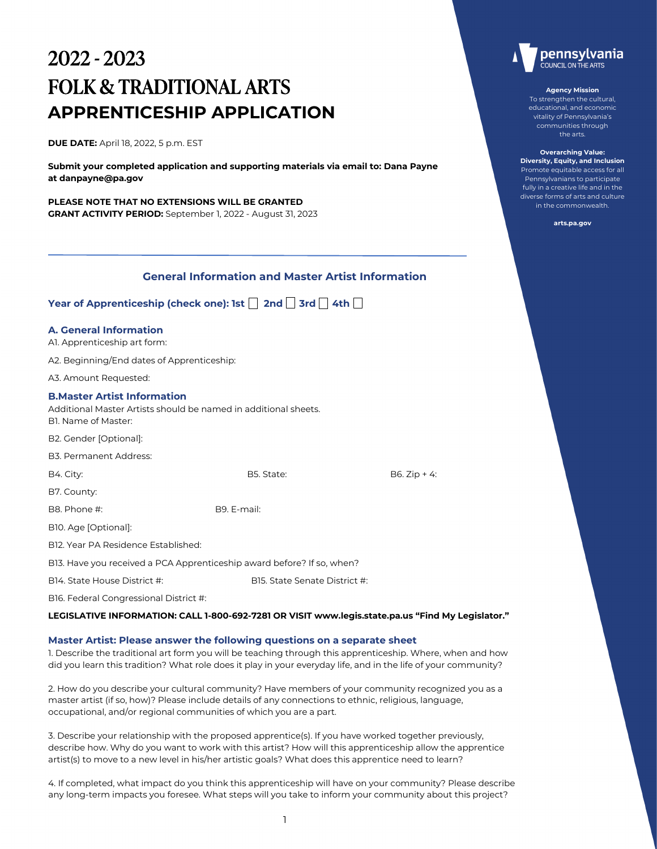# 2022 - 2023 FOLK & TRADITIONAL ARTS **APPRENTICESHIP APPLICATION**

**DUE DATE:** April 18, 2022, 5 p.m. EST

**Submit your completed application and supporting materials via email to: Dana Payne at danpayne@pa.gov** 

**PLEASE NOTE THAT NO EXTENSIONS WILL BE GRANTED GRANT ACTIVITY PERIOD:** September 1, 2022 - August 31, 2023

| <b>General Information and Master Artist Information</b>                                                                     |                               |                |  |  |  |  |  |
|------------------------------------------------------------------------------------------------------------------------------|-------------------------------|----------------|--|--|--|--|--|
| Year of Apprenticeship (check one): 1st $\Box$ 2nd $\Box$ 3rd $\Box$ 4th $\Box$                                              |                               |                |  |  |  |  |  |
| <b>A. General Information</b><br>Al. Apprenticeship art form:                                                                |                               |                |  |  |  |  |  |
| A2. Beginning/End dates of Apprenticeship:                                                                                   |                               |                |  |  |  |  |  |
| A3. Amount Requested:                                                                                                        |                               |                |  |  |  |  |  |
| <b>B.Master Artist Information</b><br>Additional Master Artists should be named in additional sheets.<br>Bl. Name of Master: |                               |                |  |  |  |  |  |
| B2. Gender [Optional]:                                                                                                       |                               |                |  |  |  |  |  |
| B3. Permanent Address:                                                                                                       |                               |                |  |  |  |  |  |
| B4. City:                                                                                                                    | B5. State:                    | $B6. Zip + 4:$ |  |  |  |  |  |
| B7. County:                                                                                                                  |                               |                |  |  |  |  |  |
| B8. Phone #:                                                                                                                 | B9. E-mail:                   |                |  |  |  |  |  |
| B10. Age [Optional]:                                                                                                         |                               |                |  |  |  |  |  |
| BI2. Year PA Residence Established:                                                                                          |                               |                |  |  |  |  |  |
| BI3. Have you received a PCA Apprenticeship award before? If so, when?                                                       |                               |                |  |  |  |  |  |
| B14. State House District #:                                                                                                 | B15. State Senate District #: |                |  |  |  |  |  |
| B16. Federal Congressional District #:                                                                                       |                               |                |  |  |  |  |  |
| LEGISLATIVE INFORMATION: CALL 1-800-692-7281 OR VISIT www.legis.state.pa.us "Find My Legislator."                            |                               |                |  |  |  |  |  |

# **Master Artist: Please answer the following questions on a separate sheet**

1. Describe the traditional art form you will be teaching through this apprenticeship. Where, when and how did you learn this tradition? What role does it play in your everyday life, and in the life of your community?

2. How do you describe your cultural community? Have members of your community recognized you as a master artist (if so, how)? Please include details of any connections to ethnic, religious, language, occupational, and/or regional communities of which you are a part.

3. Describe your relationship with the proposed apprentice(s). If you have worked together previously, describe how. Why do you want to work with this artist? How will this apprenticeship allow the apprentice artist(s) to move to a new level in his/her artistic goals? What does this apprentice need to learn?

4. If completed, what impact do you think this apprenticeship will have on your community? Please describe any long-term impacts you foresee. What steps will you take to inform your community about this project?



#### **Agency Mission**

To strengthen the cultural, educational, and economic vitality of Pennsylvania's communities through the arts.

**Overarching Value: Diversity, Equity, and Inclusion** Promote equitable access for all Pennsylvanians to participate fully in a creative life and in the diverse forms of arts and culture in the commonwealth.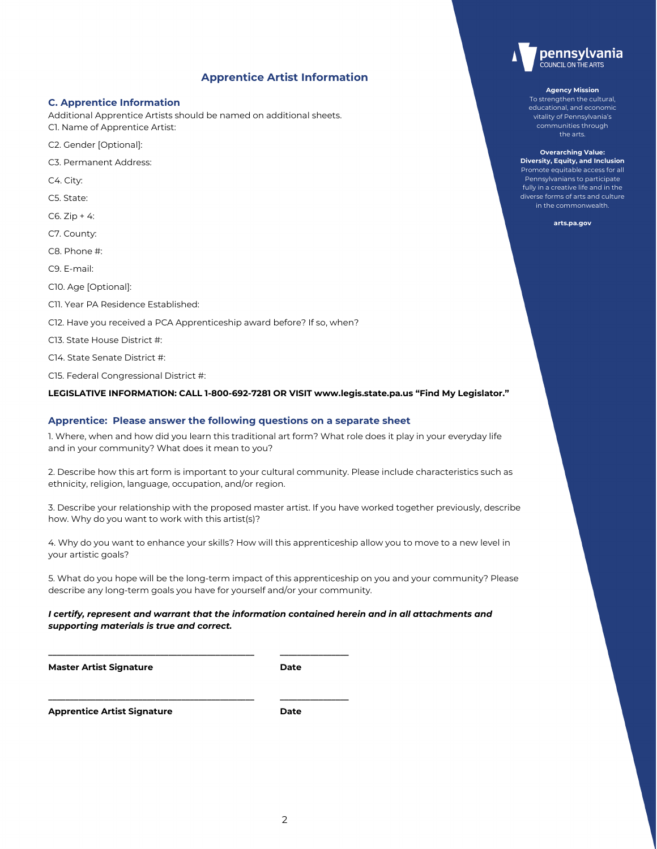# **Apprentice Artist Information**

## **C. Apprentice Information**

Additional Apprentice Artists should be named on additional sheets. C1. Name of Apprentice Artist:

- C2. Gender [Optional]:
- C3. Permanent Address:
- C4. City:
- C5. State:
- $C6. Zip + 4:$
- C7. County:
- C8. Phone #:
- C9. E-mail:
- C10. Age [Optional]:
- C11. Year PA Residence Established:
- C12. Have you received a PCA Apprenticeship award before? If so, when?

**\_\_\_\_\_\_\_\_\_\_\_\_\_\_\_\_\_\_\_\_\_\_\_\_\_\_\_\_\_\_\_\_\_\_\_\_\_\_\_\_\_\_\_\_\_\_\_\_ \_\_\_\_\_\_\_\_\_\_\_\_\_\_\_\_**

**\_\_\_\_\_\_\_\_\_\_\_\_\_\_\_\_\_\_\_\_\_\_\_\_\_\_\_\_\_\_\_\_\_\_\_\_\_\_\_\_\_\_\_\_\_\_\_\_ \_\_\_\_\_\_\_\_\_\_\_\_\_\_\_\_**

- C13. State House District #:
- C14. State Senate District #:
- C15. Federal Congressional District #:

#### **LEGISLATIVE INFORMATION: CALL 1-800-692-7281 OR VISIT www.legis.state.pa.us "Find My Legislator."**

#### **Apprentice: Please answer the following questions on a separate sheet**

1. Where, when and how did you learn this traditional art form? What role does it play in your everyday life and in your community? What does it mean to you?

2. Describe how this art form is important to your cultural community. Please include characteristics such as ethnicity, religion, language, occupation, and/or region.

3. Describe your relationship with the proposed master artist. If you have worked together previously, describe how. Why do you want to work with this artist(s)?

4. Why do you want to enhance your skills? How will this apprenticeship allow you to move to a new level in your artistic goals?

5. What do you hope will be the long-term impact of this apprenticeship on you and your community? Please describe any long-term goals you have for yourself and/or your community.

## *I certify, represent and warrant that the information contained herein and in all attachments and supporting materials is true and correct.*

**Master Artist Signature Community Community Community Community Community Community Community Community Community** 

**Apprentice Artist Signature Date**



#### **Agency Mission**

To strengthen the cultural, educational, and economic vitality of Pennsylvania's communities through the arts.

**Overarching Value: Diversity, Equity, and Inclusion** Promote equitable access for all Pennsylvanians to participate fully in a creative life and in the diverse forms of arts and culture in the commonwealth.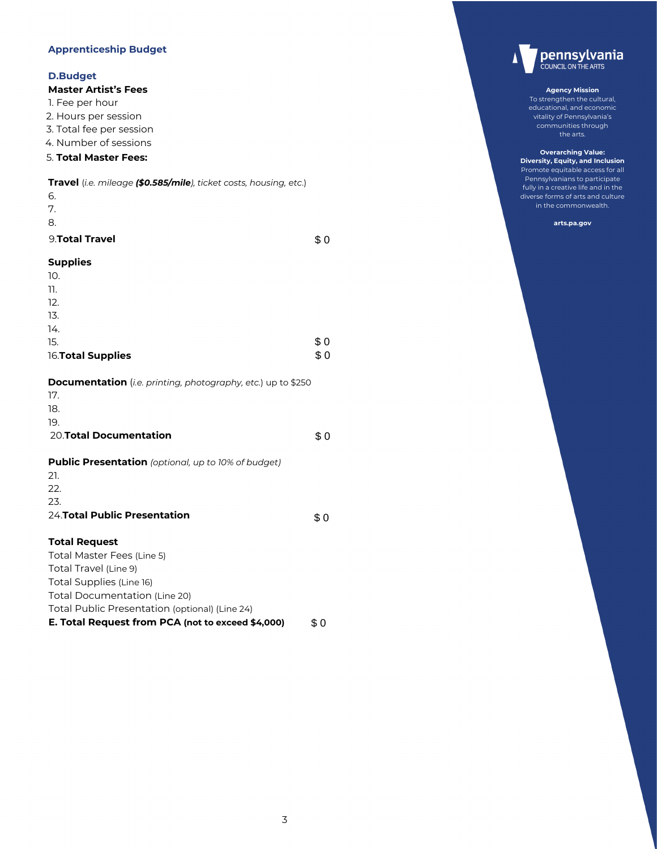# **Apprenticeship Budget**

# **D.Budget**

# **Master Artist's Fees**

- 1. Fee per hour
- 2. Hours per session
- 3. Total fee per session
- 4. Number of sessions

# 5. **Total Master Fees:**

| Travel (i.e. mileage (\$0.585/mile), ticket costs, housing, etc.) |  |
|-------------------------------------------------------------------|--|
|-------------------------------------------------------------------|--|

| 6.             |  |  |
|----------------|--|--|
| 7.             |  |  |
| 8.             |  |  |
| 9.Total Travel |  |  |

# **Supplies**

| 10.                |     |
|--------------------|-----|
| 11.                |     |
| 12.                |     |
| 13.                |     |
| 14.                |     |
| 15.                | \$0 |
| 16. Total Supplies | \$0 |

\$ 0

\$ 0

\$ 0

**Documentation** (*i.e. printing, photography, etc.*) up to \$250

| 17.                                                        |  |
|------------------------------------------------------------|--|
| 18.                                                        |  |
| 19.                                                        |  |
| <b>20. Total Documentation</b>                             |  |
|                                                            |  |
| <b>Public Presentation</b> (optional, up to 10% of budget) |  |
| 21.                                                        |  |
| 22.                                                        |  |

23.

24.**Total Public Presentation**

# **Total Request**

Total Master Fees (Line 5) Total Travel (Line 9) Total Supplies (Line 16) Total Documentation (Line 20) Total Public Presentation (optional) (Line 24) **E. Total Request from PCA (not to exceed \$4,000)** \$ 0



#### **Agency Mission**

To strengthen the cultural, educational, and economic vitality of Pennsylvania's communities through the arts.

**Overarching Value: Diversity, Equity, and Inclusion** Promote equitable access for all Pennsylvanians to participate fully in a creative life and in the diverse forms of arts and culture in the commonwealth.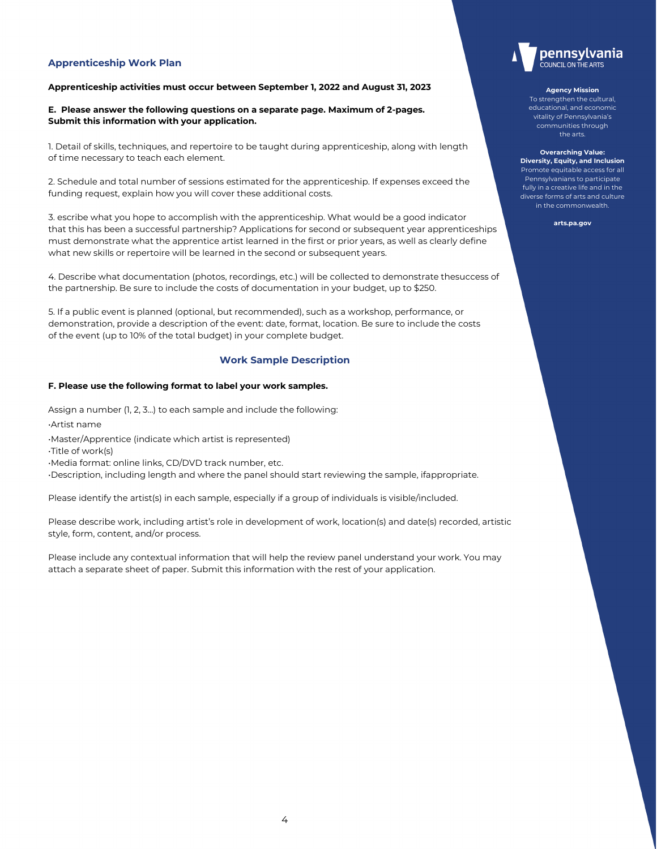## **Apprenticeship Work Plan**

#### **Apprenticeship activities must occur between September 1, 2022 and August 31, 2023**

**E. Please answer the following questions on a separate page. Maximum of 2-pages. Submit this information with your application.**

1. Detail of skills, techniques, and repertoire to be taught during apprenticeship, along with length of time necessary to teach each element.

2. Schedule and total number of sessions estimated for the apprenticeship. If expenses exceed the funding request, explain how you will cover these additional costs.

3. escribe what you hope to accomplish with the apprenticeship. What would be a good indicator that this has been a successful partnership? Applications for second or subsequent year apprenticeships must demonstrate what the apprentice artist learned in the first or prior years, as well as clearly define what new skills or repertoire will be learned in the second or subsequent years.

4. Describe what documentation (photos, recordings, etc.) will be collected to demonstrate thesuccess of the partnership. Be sure to include the costs of documentation in your budget, up to \$250.

5. If a public event is planned (optional, but recommended), such as a workshop, performance, or demonstration, provide a description of the event: date, format, location. Be sure to include the costs of the event (up to 10% of the total budget) in your complete budget.

## **Work Sample Description**

#### **F. Please use the following format to label your work samples.**

Assign a number (1, 2, 3…) to each sample and include the following:

•Artist name

•Master/Apprentice (indicate which artist is represented)

•Title of work(s)

•Media format: online links, CD/DVD track number, etc.

•Description, including length and where the panel should start reviewing the sample, ifappropriate.

Please identify the artist(s) in each sample, especially if a group of individuals is visible/included.

Please describe work, including artist's role in development of work, location(s) and date(s) recorded, artistic style, form, content, and/or process.

Please include any contextual information that will help the review panel understand your work. You may attach a separate sheet of paper. Submit this information with the rest of your application.



#### **Agency Mission**

To strengthen the cultural, educational, and economic vitality of Pennsylvania's communities through the arts.

**Overarching Value: Diversity, Equity, and Inclusion** Promote equitable access for all Pennsylvanians to participate fully in a creative life and in the diverse forms of arts and culture in the commonwealth.